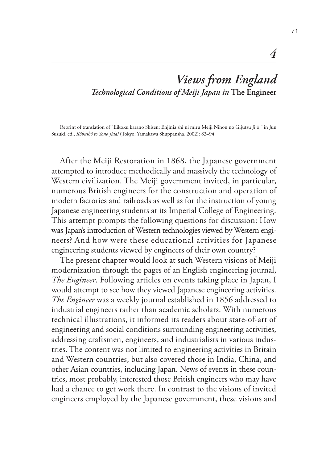# *Views from England Technological Conditions of Meiji Japan in* **The Engineer**

Reprint of translation of "Eikoku karano Shisen: Enjinia shi ni miru Meiji Nihon no Gijutsu Jijō," in Jun Suzuki, ed., *Kōbushō to Sono Jidai* (Tokyo: Yamakawa Shuppansha, 2002): 83–94.

After the Meiji Restoration in 1868, the Japanese government attempted to introduce methodically and massively the technology of Western civilization. The Meiji government invited, in particular, numerous British engineers for the construction and operation of modern factories and railroads as well as for the instruction of young Japanese engineering students at its Imperial College of Engineering. This attempt prompts the following questions for discussion: How was Japan's introduction of Western technologies viewed by Western engineers? And how were these educational activities for Japanese engineering students viewed by engineers of their own country?

The present chapter would look at such Western visions of Meiji modernization through the pages of an English engineering journal, *The Engineer*. Following articles on events taking place in Japan, I would attempt to see how they viewed Japanese engineering activities. *The Engineer* was a weekly journal established in 1856 addressed to industrial engineers rather than academic scholars. With numerous technical illustrations, it informed its readers about state-of-art of engineering and social conditions surrounding engineering activities, addressing craftsmen, engineers, and industrialists in various industries. The content was not limited to engineering activities in Britain and Western countries, but also covered those in India, China, and other Asian countries, including Japan. News of events in these countries, most probably, interested those British engineers who may have had a chance to get work there. In contrast to the visions of invited engineers employed by the Japanese government, these visions and

*4*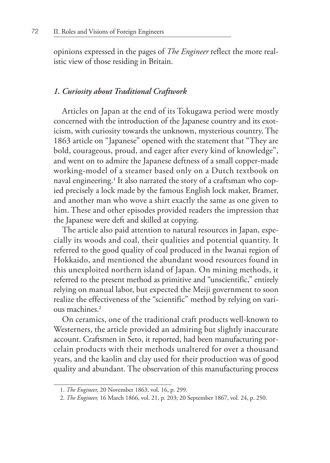opinions expressed in the pages of *The Engineer* reflect the more realistic view of those residing in Britain.

#### *1. Curiosity about Traditional Craftwork*

Articles on Japan at the end of its Tokugawa period were mostly concerned with the introduction of the Japanese country and its exoticism, with curiosity towards the unknown, mysterious country. The 1863 article on "Japanese" opened with the statement that "They are bold, courageous, proud, and eager after every kind of knowledge", and went on to admire the Japanese deftness of a small copper-made working-model of a steamer based only on a Dutch textbook on naval engineering.**<sup>1</sup>** It also narrated the story of a craftsman who copied precisely a lock made by the famous English lock maker, Bramer, and another man who wove a shirt exactly the same as one given to him. These and other episodes provided readers the impression that the Japanese were deft and skilled at copying.

The article also paid attention to natural resources in Japan, especially its woods and coal, their qualities and potential quantity. It referred to the good quality of coal produced in the Iwanai region of Hokkaido, and mentioned the abundant wood resources found in this unexploited northern island of Japan. On mining methods, it referred to the present method as primitive and "unscientific," entirely relying on manual labor, but expected the Meiji government to soon realize the effectiveness of the "scientific" method by relying on various machines.**<sup>2</sup>**

On ceramics, one of the traditional craft products well-known to Westerners, the article provided an admiring but slightly inaccurate account. Craftsmen in Seto, it reported, had been manufacturing porcelain products with their methods unaltered for over a thousand years, and the kaolin and clay used for their production was of good quality and abundant. The observation of this manufacturing process

<sup>1.</sup> *The Engineer,* 20 November 1863, vol. 16, p. 299.

<sup>2.</sup> *The Engineer,* 16 March 1866, vol. 21, p. 203; 20 September 1867, vol. 24, p. 250.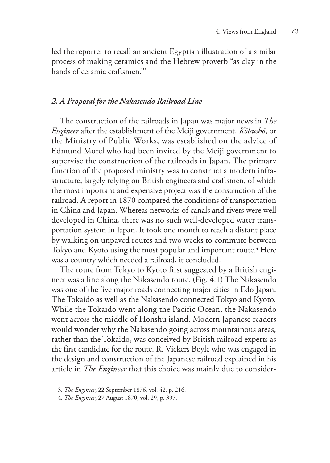led the reporter to recall an ancient Egyptian illustration of a similar process of making ceramics and the Hebrew proverb "as clay in the hands of ceramic craftsmen."**<sup>3</sup>**

## *2. A Proposal for the Nakasendo Railroad Line*

The construction of the railroads in Japan was major news in *The Engineer* after the establishment of the Meiji government. *Kōbushō*, or the Ministry of Public Works, was established on the advice of Edmund Morel who had been invited by the Meiji government to supervise the construction of the railroads in Japan. The primary function of the proposed ministry was to construct a modern infrastructure, largely relying on British engineers and craftsmen, of which the most important and expensive project was the construction of the railroad. A report in 1870 compared the conditions of transportation in China and Japan. Whereas networks of canals and rivers were well developed in China, there was no such well-developed water transportation system in Japan. It took one month to reach a distant place by walking on unpaved routes and two weeks to commute between Tokyo and Kyoto using the most popular and important route.**<sup>4</sup>** Here was a country which needed a railroad, it concluded.

The route from Tokyo to Kyoto first suggested by a British engineer was a line along the Nakasendo route. (Fig. 4.1) The Nakasendo was one of the five major roads connecting major cities in Edo Japan. The Tokaido as well as the Nakasendo connected Tokyo and Kyoto. While the Tokaido went along the Pacific Ocean, the Nakasendo went across the middle of Honshu island. Modern Japanese readers would wonder why the Nakasendo going across mountainous areas, rather than the Tokaido, was conceived by British railroad experts as the first candidate for the route. R. Vickers Boyle who was engaged in the design and construction of the Japanese railroad explained in his article in *The Engineer* that this choice was mainly due to consider-

<sup>3.</sup> *The Engineer*, 22 September 1876, vol. 42, p. 216.

<sup>4.</sup> *The Engineer*, 27 August 1870, vol. 29, p. 397.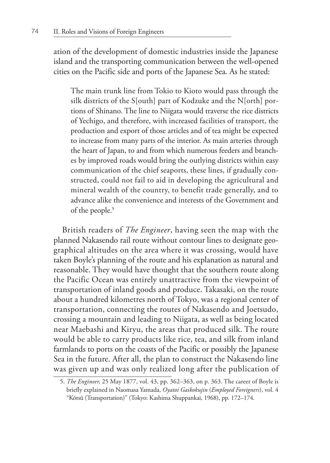ation of the development of domestic industries inside the Japanese island and the transporting communication between the well-opened cities on the Pacific side and ports of the Japanese Sea. As he stated:

The main trunk line from Tokio to Kioto would pass through the silk districts of the S[outh] part of Kodzuke and the N[orth] portions of Shinano. The line to Niigata would traverse the rice districts of Yechigo, and therefore, with increased facilities of transport, the production and export of those articles and of tea might be expected to increase from many parts of the interior. As main arteries through the heart of Japan, to and from which numerous feeders and branches by improved roads would bring the outlying districts within easy communication of the chief seaports, these lines, if gradually constructed, could not fail to aid in developing the agricultural and mineral wealth of the country, to benefit trade generally, and to advance alike the convenience and interests of the Government and of the people.**<sup>5</sup>**

British readers of *The Engineer*, having seen the map with the planned Nakasendo rail route without contour lines to designate geographical altitudes on the area where it was crossing, would have taken Boyle's planning of the route and his explanation as natural and reasonable. They would have thought that the southern route along the Pacific Ocean was entirely unattractive from the viewpoint of transportation of inland goods and produce. Takasaki, on the route about a hundred kilometres north of Tokyo, was a regional center of transportation, connecting the routes of Nakasendo and Joetsudo, crossing a mountain and leading to Niigata, as well as being located near Maebashi and Kiryu, the areas that produced silk. The route would be able to carry products like rice, tea, and silk from inland farmlands to ports on the coasts of the Pacific or possibly the Japanese Sea in the future. After all, the plan to construct the Nakasendo line was given up and was only realized long after the publication of

<sup>5.</sup> *The Engineer,* 25 May 1877, vol. 43, pp. 362–363, on p. 363. The career of Boyle is briefly explained in Naomasa Yamada, *Oyatoi Gaikokujin* (*Employed Foreigners*), vol. 4 "Kōtsū (Transportation)" (Tokyo: Kashima Shuppankai, 1968), pp. 172–174.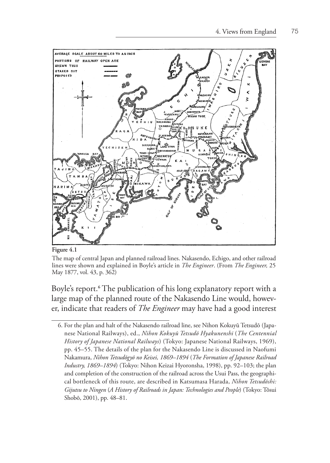

**Figure 4.1**

The map of central Japan and planned railroad lines. Nakasendo, Echigo, and other railroad lines were shown and explained in Boyle's article in *The Engineer*. (From *The Engineer,* 25 May 1877, vol. 43, p. 362)

Boyle's report.**<sup>6</sup>** The publication of his long explanatory report with a large map of the planned route of the Nakasendo Line would, however, indicate that readers of *The Engineer* may have had a good interest

<sup>6.</sup> For the plan and halt of the Nakasendo railroad line, see Nihon Kokuyū Tetsudō (Japanese National Railways), ed., *Nihon Kokuyū Tetsudō Hyakunenshi* (*The Centennial History of Japanese National Railways*) (Tokyo: Japanese National Railways, 1969), pp. 45–55. The details of the plan for the Nakasendo Line is discussed in Naofumi Nakamura, *Nihon Tetsudōgyō no Keisei, 1869–1894* (*The Formation of Japanese Railroad Industry, 1869–1894*) (Tokyo: Nihon Keizai Hyoronsha, 1998), pp. 92–103; the plan and completion of the construction of the railroad across the Usui Pass, the geographical bottleneck of this route, are described in Katsumasa Harada, *Nihon Tetsudōshi: Gijutsu to Ningen* (*A History of Railroads in Japan: Technologies and People*) (Tokyo: Tōsui Shobō, 2001), pp. 48–81.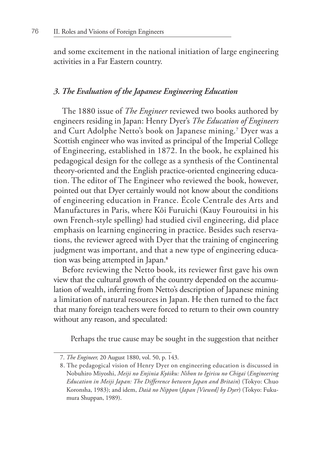and some excitement in the national initiation of large engineering activities in a Far Eastern country.

### *3. The Evaluation of the Japanese Engineering Education*

The 1880 issue of *The Engineer* reviewed two books authored by engineers residing in Japan: Henry Dyer's *The Education of Engineers* and Curt Adolphe Netto's book on Japanese mining.**<sup>7</sup>** Dyer was a Scottish engineer who was invited as principal of the Imperial College of Engineering, established in 1872. In the book, he explained his pedagogical design for the college as a synthesis of the Continental theory-oriented and the English practice-oriented engineering education. The editor of The Engineer who reviewed the book, however, pointed out that Dyer certainly would not know about the conditions of engineering education in France. École Centrale des Arts and Manufactures in Paris, where Kōi Furuichi (Kauy Fourouitsi in his own French-style spelling) had studied civil engineering, did place emphasis on learning engineering in practice. Besides such reservations, the reviewer agreed with Dyer that the training of engineering judgment was important, and that a new type of engineering education was being attempted in Japan.**<sup>8</sup>**

Before reviewing the Netto book, its reviewer first gave his own view that the cultural growth of the country depended on the accumulation of wealth, inferring from Netto's description of Japanese mining a limitation of natural resources in Japan. He then turned to the fact that many foreign teachers were forced to return to their own country without any reason, and speculated:

Perhaps the true cause may be sought in the suggestion that neither

<sup>7.</sup> *The Engineer,* 20 August 1880, vol. 50, p. 143.

<sup>8.</sup> The pedagogical vision of Henry Dyer on engineering education is discussed in Nobuhiro Miyoshi, *Meiji no Enjinia Kyōiku: Nihon to Igirisu no Chigai* (*Engineering Education in Meiji Japan: The Difference between Japan and Britain*) (Tokyo: Chuo Koronsha, 1983); and idem, *Daiā no Nippon* (*Japan [Viewed] by Dyer*) (Tokyo: Fukumura Shuppan, 1989).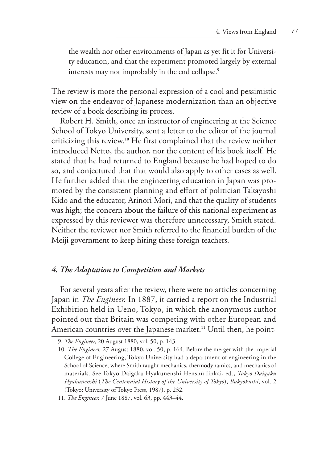the wealth nor other environments of Japan as yet fit it for University education, and that the experiment promoted largely by external interests may not improbably in the end collapse.**<sup>9</sup>**

The review is more the personal expression of a cool and pessimistic view on the endeavor of Japanese modernization than an objective review of a book describing its process.

Robert H. Smith, once an instructor of engineering at the Science School of Tokyo University, sent a letter to the editor of the journal criticizing this review.**10** He first complained that the review neither introduced Netto, the author, nor the content of his book itself. He stated that he had returned to England because he had hoped to do so, and conjectured that that would also apply to other cases as well. He further added that the engineering education in Japan was promoted by the consistent planning and effort of politician Takayoshi Kido and the educator, Arinori Mori, and that the quality of students was high; the concern about the failure of this national experiment as expressed by this reviewer was therefore unnecessary, Smith stated. Neither the reviewer nor Smith referred to the financial burden of the Meiji government to keep hiring these foreign teachers.

# *4. The Adaptation to Competition and Markets*

For several years after the review, there were no articles concerning Japan in *The Engineer.* In 1887, it carried a report on the Industrial Exhibition held in Ueno, Tokyo, in which the anonymous author pointed out that Britain was competing with other European and American countries over the Japanese market.**11** Until then, he point-

<sup>9.</sup> *The Engineer,* 20 August 1880, vol. 50, p. 143.

<sup>10.</sup> *The Engineer,* 27 August 1880, vol. 50, p. 164. Before the merger with the Imperial College of Engineering, Tokyo University had a department of engineering in the School of Science, where Smith taught mechanics, thermodynamics, and mechanics of materials. See Tokyo Daigaku Hyakunenshi Henshū Iinkai, ed., *Tokyo Daigaku Hyakunenshi* (*The Centennial History of the University of Tokyo*), *Bukyokushi*, vol. 2 (Tokyo: University of Tokyo Press, 1987), p. 232.

<sup>11.</sup> *The Engineer,* 7 June 1887, vol. 63, pp. 443–44.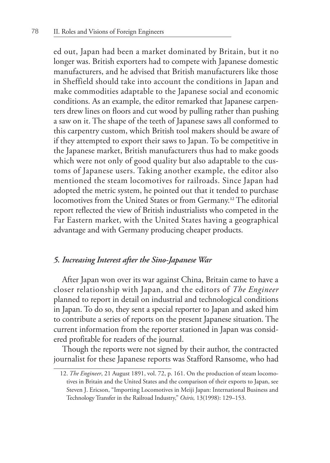ed out, Japan had been a market dominated by Britain, but it no longer was. British exporters had to compete with Japanese domestic manufacturers, and he advised that British manufacturers like those in Sheffield should take into account the conditions in Japan and make commodities adaptable to the Japanese social and economic conditions. As an example, the editor remarked that Japanese carpenters drew lines on floors and cut wood by pulling rather than pushing a saw on it. The shape of the teeth of Japanese saws all conformed to this carpentry custom, which British tool makers should be aware of if they attempted to export their saws to Japan. To be competitive in the Japanese market, British manufacturers thus had to make goods which were not only of good quality but also adaptable to the customs of Japanese users. Taking another example, the editor also mentioned the steam locomotives for railroads. Since Japan had adopted the metric system, he pointed out that it tended to purchase locomotives from the United States or from Germany.**12** The editorial report reflected the view of British industrialists who competed in the Far Eastern market, with the United States having a geographical advantage and with Germany producing cheaper products.

### *5. Increasing Interest after the Sino-Japanese War*

After Japan won over its war against China, Britain came to have a closer relationship with Japan, and the editors of *The Engineer*  planned to report in detail on industrial and technological conditions in Japan. To do so, they sent a special reporter to Japan and asked him to contribute a series of reports on the present Japanese situation. The current information from the reporter stationed in Japan was considered profitable for readers of the journal.

Though the reports were not signed by their author, the contracted journalist for these Japanese reports was Stafford Ransome, who had

<sup>12.</sup> *The Engineer*, 21 August 1891, vol. 72, p. 161. On the production of steam locomotives in Britain and the United States and the comparison of their exports to Japan, see Steven J. Ericson, "Importing Locomotives in Meiji Japan: International Business and Technology Transfer in the Railroad Industry," *Osiris,* 13(1998): 129–153.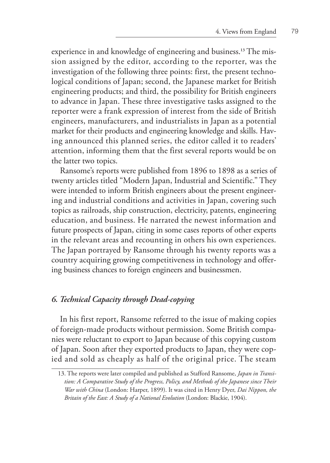experience in and knowledge of engineering and business.**13** The mission assigned by the editor, according to the reporter, was the investigation of the following three points: first, the present technological conditions of Japan; second, the Japanese market for British engineering products; and third, the possibility for British engineers to advance in Japan. These three investigative tasks assigned to the reporter were a frank expression of interest from the side of British engineers, manufacturers, and industrialists in Japan as a potential market for their products and engineering knowledge and skills. Having announced this planned series, the editor called it to readers' attention, informing them that the first several reports would be on the latter two topics.

Ransome's reports were published from 1896 to 1898 as a series of twenty articles titled "Modern Japan, Industrial and Scientific." They were intended to inform British engineers about the present engineering and industrial conditions and activities in Japan, covering such topics as railroads, ship construction, electricity, patents, engineering education, and business. He narrated the newest information and future prospects of Japan, citing in some cases reports of other experts in the relevant areas and recounting in others his own experiences. The Japan portrayed by Ransome through his twenty reports was a country acquiring growing competitiveness in technology and offering business chances to foreign engineers and businessmen.

#### *6. Technical Capacity through Dead-copying*

In his first report, Ransome referred to the issue of making copies of foreign-made products without permission. Some British companies were reluctant to export to Japan because of this copying custom of Japan. Soon after they exported products to Japan, they were copied and sold as cheaply as half of the original price. The steam

<sup>13.</sup> The reports were later compiled and published as Stafford Ransome, *Japan in Transition: A Comparative Study of the Progress, Policy, and Methods of the Japanese since Their War with China* (London: Harper, 1899). It was cited in Henry Dyer, *Dai Nippon, the Britain of the East: A Study of a National Evolution* (London: Blackie, 1904).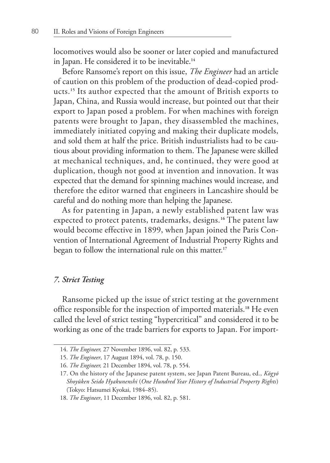locomotives would also be sooner or later copied and manufactured in Japan. He considered it to be inevitable.**<sup>14</sup>**

Before Ransome's report on this issue, *The Engineer* had an article of caution on this problem of the production of dead-copied products.**15** Its author expected that the amount of British exports to Japan, China, and Russia would increase, but pointed out that their export to Japan posed a problem. For when machines with foreign patents were brought to Japan, they disassembled the machines, immediately initiated copying and making their duplicate models, and sold them at half the price. British industrialists had to be cautious about providing information to them. The Japanese were skilled at mechanical techniques, and, he continued, they were good at duplication, though not good at invention and innovation. It was expected that the demand for spinning machines would increase, and therefore the editor warned that engineers in Lancashire should be careful and do nothing more than helping the Japanese.

As for patenting in Japan, a newly established patent law was expected to protect patents, trademarks, designs.**16** The patent law would become effective in 1899, when Japan joined the Paris Convention of International Agreement of Industrial Property Rights and began to follow the international rule on this matter.**<sup>17</sup>**

#### *7. Strict Testing*

Ransome picked up the issue of strict testing at the government office responsible for the inspection of imported materials.**18** He even called the level of strict testing "hypercritical" and considered it to be working as one of the trade barriers for exports to Japan. For import-

<sup>14.</sup> *The Engineer,* 27 November 1896, vol. 82, p. 533.

<sup>15.</sup> *The Engineer*, 17 August 1894, vol. 78, p. 150.

<sup>16.</sup> *The Engineer,* 21 December 1894, vol. 78, p. 554.

<sup>17.</sup> On the history of the Japanese patent system, see Japan Patent Bureau, ed., *Kōgyō Shoyūken Seido Hyakunenshi* (*One Hundred Year History of Industrial Property Rights*) (Tokyo: Hatsumei Kyokai, 1984–85).

<sup>18.</sup> *The Engineer*, 11 December 1896, vol. 82, p. 581.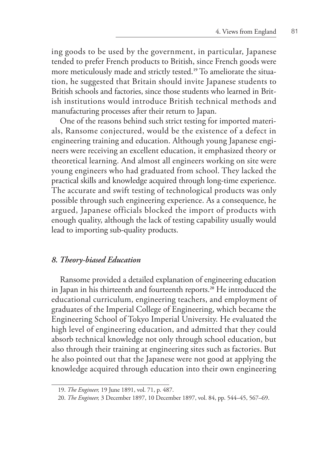ing goods to be used by the government, in particular, Japanese tended to prefer French products to British, since French goods were more meticulously made and strictly tested.**19** To ameliorate the situation, he suggested that Britain should invite Japanese students to British schools and factories, since those students who learned in British institutions would introduce British technical methods and manufacturing processes after their return to Japan.

One of the reasons behind such strict testing for imported materials, Ransome conjectured, would be the existence of a defect in engineering training and education. Although young Japanese engineers were receiving an excellent education, it emphasized theory or theoretical learning. And almost all engineers working on site were young engineers who had graduated from school. They lacked the practical skills and knowledge acquired through long-time experience. The accurate and swift testing of technological products was only possible through such engineering experience. As a consequence, he argued, Japanese officials blocked the import of products with enough quality, although the lack of testing capability usually would lead to importing sub-quality products.

#### *8. Theory-biased Education*

Ransome provided a detailed explanation of engineering education in Japan in his thirteenth and fourteenth reports.**20** He introduced the educational curriculum, engineering teachers, and employment of graduates of the Imperial College of Engineering, which became the Engineering School of Tokyo Imperial University. He evaluated the high level of engineering education, and admitted that they could absorb technical knowledge not only through school education, but also through their training at engineering sites such as factories. But he also pointed out that the Japanese were not good at applying the knowledge acquired through education into their own engineering

<sup>19.</sup> *The Engineer,* 19 June 1891, vol. 71, p. 487.

<sup>20.</sup> *The Engineer,* 3 December 1897, 10 December 1897, vol. 84, pp. 544–45, 567–69.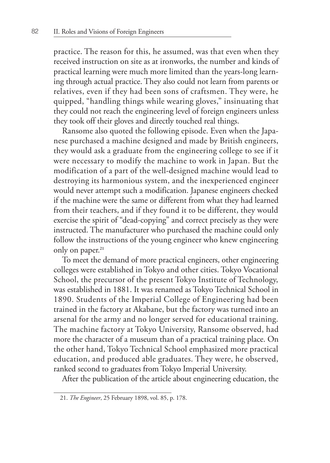practice. The reason for this, he assumed, was that even when they received instruction on site as at ironworks, the number and kinds of practical learning were much more limited than the years-long learning through actual practice. They also could not learn from parents or relatives, even if they had been sons of craftsmen. They were, he quipped, "handling things while wearing gloves," insinuating that they could not reach the engineering level of foreign engineers unless they took off their gloves and directly touched real things.

Ransome also quoted the following episode. Even when the Japanese purchased a machine designed and made by British engineers, they would ask a graduate from the engineering college to see if it were necessary to modify the machine to work in Japan. But the modification of a part of the well-designed machine would lead to destroying its harmonious system, and the inexperienced engineer would never attempt such a modification. Japanese engineers checked if the machine were the same or different from what they had learned from their teachers, and if they found it to be different, they would exercise the spirit of "dead-copying" and correct precisely as they were instructed. The manufacturer who purchased the machine could only follow the instructions of the young engineer who knew engineering only on paper.**<sup>21</sup>**

To meet the demand of more practical engineers, other engineering colleges were established in Tokyo and other cities. Tokyo Vocational School, the precursor of the present Tokyo Institute of Technology, was established in 1881. It was renamed as Tokyo Technical School in 1890. Students of the Imperial College of Engineering had been trained in the factory at Akabane, but the factory was turned into an arsenal for the army and no longer served for educational training. The machine factory at Tokyo University, Ransome observed, had more the character of a museum than of a practical training place. On the other hand, Tokyo Technical School emphasized more practical education, and produced able graduates. They were, he observed, ranked second to graduates from Tokyo Imperial University.

After the publication of the article about engineering education, the

<sup>21.</sup> *The Engineer*, 25 February 1898, vol. 85, p. 178.